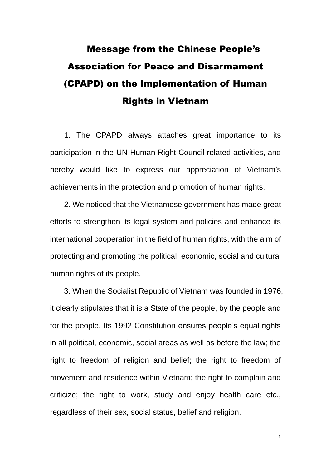## Message from the Chinese People's Association for Peace and Disarmament (CPAPD) on the Implementation of Human Rights in Vietnam

1. The CPAPD always attaches great importance to its participation in the UN Human Right Council related activities, and hereby would like to express our appreciation of Vietnam's achievements in the protection and promotion of human rights.

2. We noticed that the Vietnamese government has made great efforts to strengthen its legal system and policies and enhance its international cooperation in the field of human rights, with the aim of protecting and promoting the political, economic, social and cultural human rights of its people.

3. When the Socialist Republic of Vietnam was founded in 1976, it clearly stipulates that it is a State of the people, by the people and for the people. Its 1992 Constitution ensures people's equal rights in all political, economic, social areas as well as before the law; the right to freedom of religion and belief; the right to freedom of movement and residence within Vietnam; the right to complain and criticize; the right to work, study and enjoy health care etc., regardless of their sex, social status, belief and religion.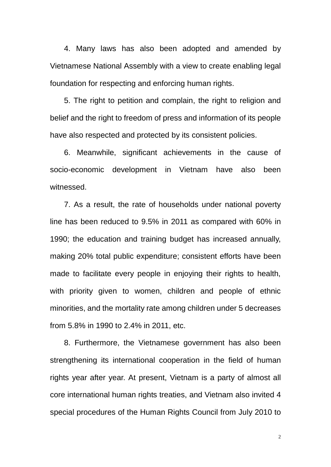4. Many laws has also been adopted and amended by Vietnamese National Assembly with a view to create enabling legal foundation for respecting and enforcing human rights.

5. The right to petition and complain, the right to religion and belief and the right to freedom of press and information of its people have also respected and protected by its consistent policies.

6. Meanwhile, significant achievements in the cause of socio-economic development in Vietnam have also been witnessed.

7. As a result, the rate of households under national poverty line has been reduced to 9.5% in 2011 as compared with 60% in 1990; the education and training budget has increased annually, making 20% total public expenditure; consistent efforts have been made to facilitate every people in enjoying their rights to health, with priority given to women, children and people of ethnic minorities, and the mortality rate among children under 5 decreases from 5.8% in 1990 to 2.4% in 2011, etc.

8. Furthermore, the Vietnamese government has also been strengthening its international cooperation in the field of human rights year after year. At present, Vietnam is a party of almost all core international human rights treaties, and Vietnam also invited 4 special procedures of the Human Rights Council from July 2010 to

2